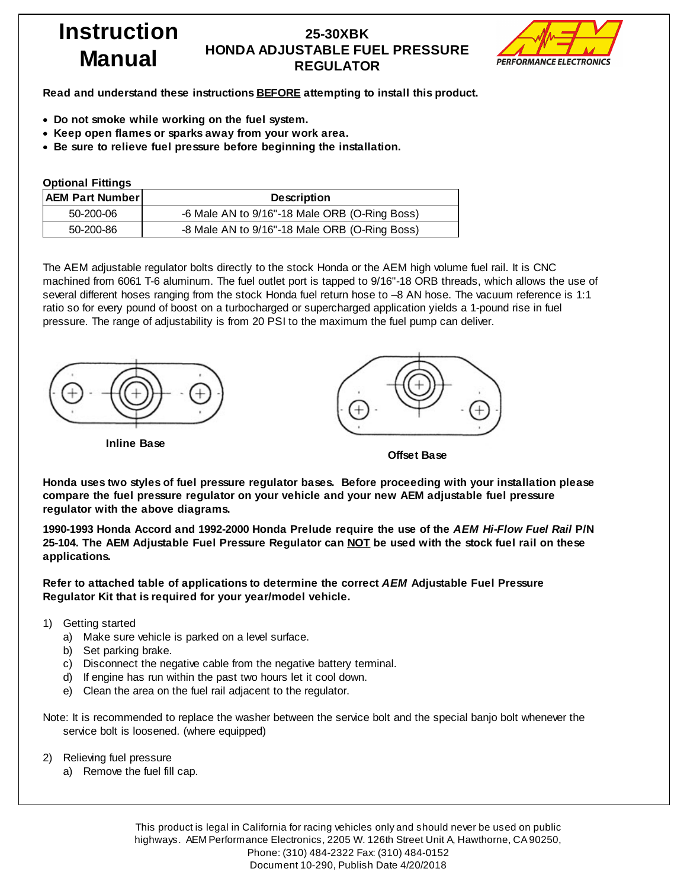### **25-30XBK HONDA ADJUSTABLE FUEL PRESSURE REGULATOR**



**Read and understand these instructions BEFORE attempting to install this product.**

- · **Do not smoke while working on the fuel system.**
- · **Keep open flames or sparks away from your work area.**
- · **Be sure to relieve fuel pressure before beginning the installation.**

| <b>Optional Fittings</b> |                                               |  |  |  |  |
|--------------------------|-----------------------------------------------|--|--|--|--|
| <b>AEM Part Number</b>   | <b>Description</b>                            |  |  |  |  |
| 50-200-06                | -6 Male AN to 9/16"-18 Male ORB (O-Ring Boss) |  |  |  |  |
| 50-200-86                | -8 Male AN to 9/16"-18 Male ORB (O-Ring Boss) |  |  |  |  |

The AEM adjustable regulator bolts directly to the stock Honda or the AEM high volume fuel rail. It is CNC machined from 6061 T-6 aluminum. The fuel outlet port is tapped to 9/16"-18 ORB threads, which allows the use of several different hoses ranging from the stock Honda fuel return hose to –8 AN hose. The vacuum reference is 1:1 ratio so for every pound of boost on a turbocharged or supercharged application yields a 1-pound rise in fuel pressure. The range of adjustability is from 20 PSI to the maximum the fuel pump can deliver.







**Offset Base**

**Honda uses two styles of fuel pressure regulator bases. Before proceeding with your installation please compare the fuel pressure regulator on your vehicle and your new AEM adjustable fuel pressure regulator with the above diagrams.**

**1990-1993 Honda Accord and 1992-2000 Honda Prelude require the use of the** *AEM Hi-Flow Fuel Rail* **P/N** 25-104. The AEM Adjustable Fuel Pressure Regulator can NOT be used with the stock fuel rail on these **applications.**

**Refer to attached table of applications to determine the correct** *AEM* **Adjustable Fuel Pressure Regulator Kit that is required for your year/model vehicle.**

- 1) Getting started
	- a) Make sure vehicle is parked on a level surface.
	- b) Set parking brake.
	- c) Disconnect the negative cable from the negative battery terminal.
	- d) If engine has run within the past two hours let it cool down.
	- e) Clean the area on the fuel rail adjacent to the regulator.

Note: It is recommended to replace the washer between the service bolt and the special banjo bolt whenever the service bolt is loosened. (where equipped)

- 2) Relieving fuel pressure
	- a) Remove the fuel fill cap.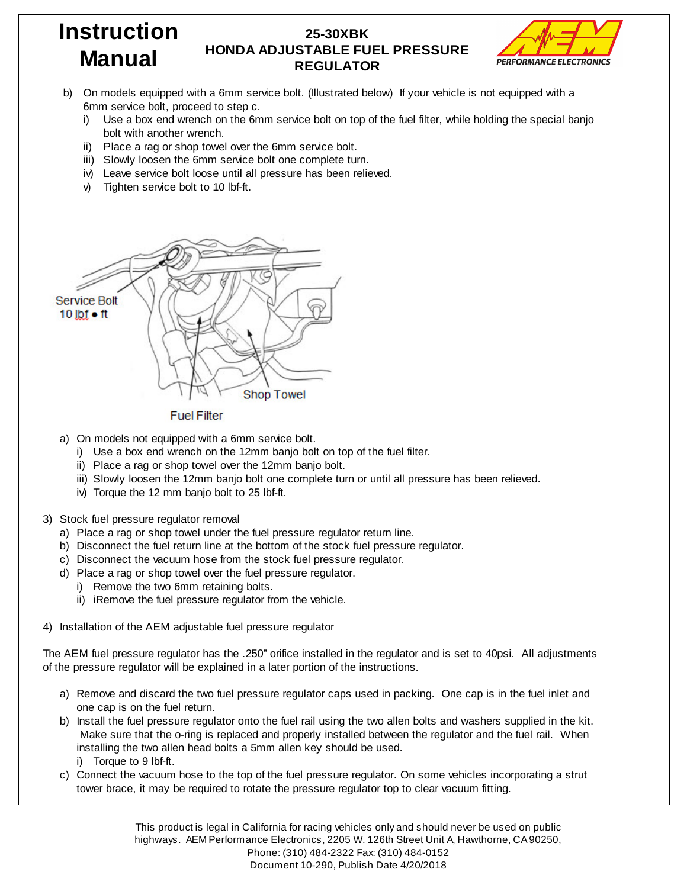### **25-30XBK HONDA ADJUSTABLE FUEL PRESSURE REGULATOR**



- b) On models equipped with a 6mm service bolt. (Illustrated below) If your vehicle is not equipped with a 6mm service bolt, proceed to step c.
	- i) Use a box end wrench on the 6mm service bolt on top of the fuel filter, while holding the special banjo bolt with another wrench.
	- ii) Place a rag or shop towel over the 6mm service bolt.
	- iii) Slowly loosen the 6mm service bolt one complete turn.
	- iv) Leave service bolt loose until all pressure has been relieved.
	- v) Tighten service bolt to 10 lbf-ft.



#### **Fuel Filter**

- a) On models not equipped with a 6mm service bolt.
	- i) Use a box end wrench on the 12mm banjo bolt on top of the fuel filter.
	- ii) Place a rag or shop towel over the 12mm banjo bolt.
	- iii) Slowly loosen the 12mm banjo bolt one complete turn or until all pressure has been relieved.
	- iv) Torque the 12 mm banjo bolt to 25 lbf-ft.
- 3) Stock fuel pressure regulator removal
	- a) Place a rag or shop towel under the fuel pressure regulator return line.
	- b) Disconnect the fuel return line at the bottom of the stock fuel pressure regulator.
	- c) Disconnect the vacuum hose from the stock fuel pressure regulator.
	- d) Place a rag or shop towel over the fuel pressure regulator.
		- i) Remove the two 6mm retaining bolts.
		- ii) iRemove the fuel pressure regulator from the vehicle.
- 4) Installation of the AEM adjustable fuel pressure regulator

The AEM fuel pressure regulator has the .250" orifice installed in the regulator and is set to 40psi. All adjustments of the pressure regulator will be explained in a later portion of the instructions.

- a) Remove and discard the two fuel pressure regulator caps used in packing. One cap is in the fuel inlet and one cap is on the fuel return.
- b) Install the fuel pressure regulator onto the fuel rail using the two allen bolts and washers supplied in the kit. Make sure that the o-ring is replaced and properly installed between the regulator and the fuel rail. When installing the two allen head bolts a 5mm allen key should be used. i) Torque to 9 lbf-ft.
- c) Connect the vacuum hose to the top of the fuel pressure regulator. On some vehicles incorporating a strut tower brace, it may be required to rotate the pressure regulator top to clear vacuum fitting.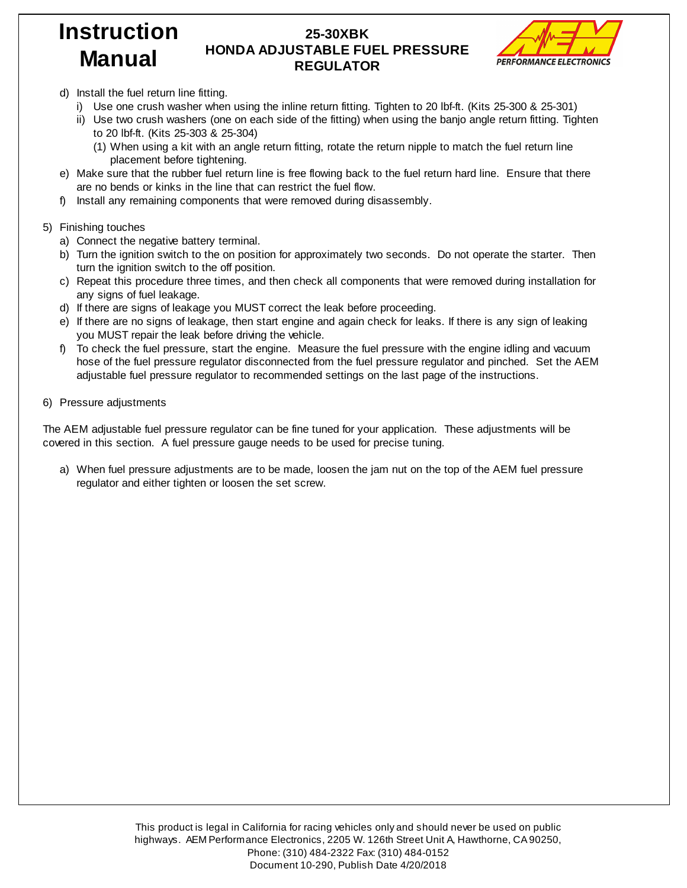#### **25-30XBK HONDA ADJUSTABLE FUEL PRESSURE REGULATOR**



- d) Install the fuel return line fitting.
	- i) Use one crush washer when using the inline return fitting. Tighten to 20 lbf-ft. (Kits 25-300 & 25-301)
	- ii) Use two crush washers (one on each side of the fitting) when using the banjo angle return fitting. Tighten to 20 lbf-ft. (Kits 25-303 & 25-304)
		- (1) When using a kit with an angle return fitting, rotate the return nipple to match the fuel return line placement before tightening.
- e) Make sure that the rubber fuel return line is free flowing back to the fuel return hard line. Ensure that there are no bends or kinks in the line that can restrict the fuel flow.
- f) Install any remaining components that were removed during disassembly.
- 5) Finishing touches
	- a) Connect the negative battery terminal.
	- b) Turn the ignition switch to the on position for approximately two seconds. Do not operate the starter. Then turn the ignition switch to the off position.
	- c) Repeat this procedure three times, and then check all components that were removed during installation for any signs of fuel leakage.
	- d) If there are signs of leakage you MUST correct the leak before proceeding.
	- e) If there are no signs of leakage, then start engine and again check for leaks. If there is any sign of leaking you MUST repair the leak before driving the vehicle.
	- f) To check the fuel pressure, start the engine. Measure the fuel pressure with the engine idling and vacuum hose of the fuel pressure regulator disconnected from the fuel pressure regulator and pinched. Set the AEM adjustable fuel pressure regulator to recommended settings on the last page of the instructions.
- 6) Pressure adjustments

The AEM adjustable fuel pressure regulator can be fine tuned for your application. These adjustments will be covered in this section. A fuel pressure gauge needs to be used for precise tuning.

a) When fuel pressure adjustments are to be made, loosen the jam nut on the top of the AEM fuel pressure regulator and either tighten or loosen the set screw.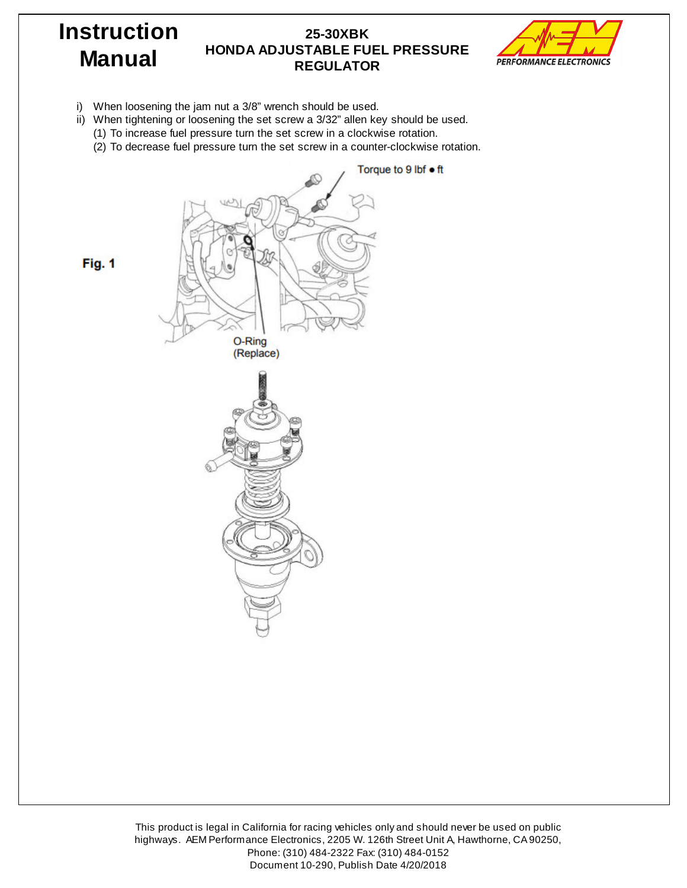#### **25-30XBK HONDA ADJUSTABLE FUEL PRESSURE REGULATOR**



i) When loosening the jam nut a 3/8" wrench should be used.

**Instruction**

**Manual**

- ii) When tightening or loosening the set screw a 3/32" allen key should be used.
	- (1) To increase fuel pressure turn the set screw in a clockwise rotation.
	- (2) To decrease fuel pressure turn the set screw in a counter-clockwise rotation.

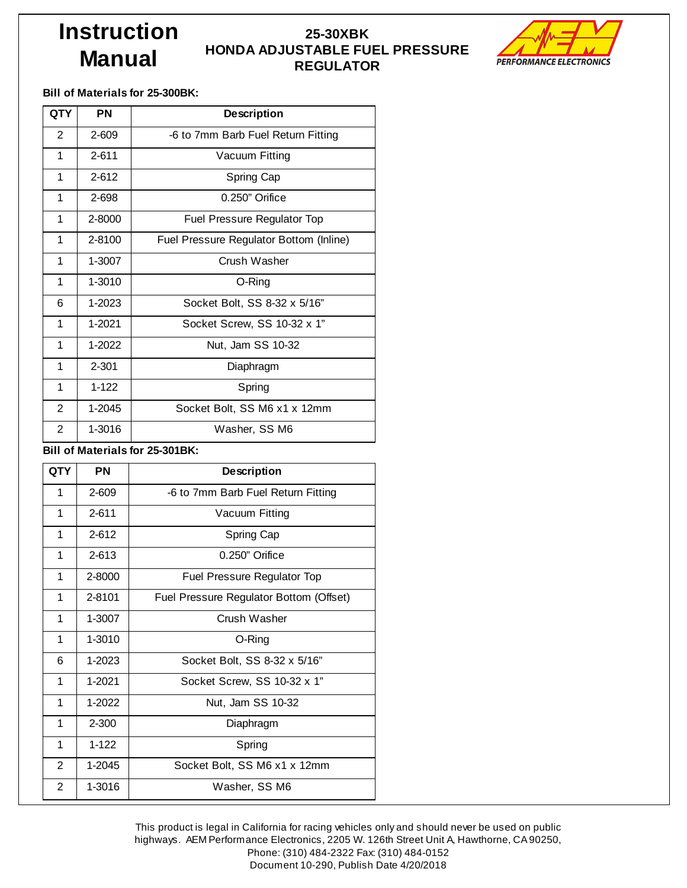#### **25-30XBK HONDA ADJUSTABLE FUEL PRESSURE REGULATOR**



**Bill of Materials for 25-300BK:**

| <b>QTY</b>     | <b>PN</b> | <b>Description</b>                      |  |  |  |  |
|----------------|-----------|-----------------------------------------|--|--|--|--|
| $\overline{2}$ | 2-609     | -6 to 7mm Barb Fuel Return Fitting      |  |  |  |  |
| 1              | $2 - 611$ | Vacuum Fitting                          |  |  |  |  |
| 1              | $2 - 612$ | Spring Cap                              |  |  |  |  |
| 1              | 2-698     | $0.250$ " Orifice                       |  |  |  |  |
| 1              | 2-8000    | Fuel Pressure Regulator Top             |  |  |  |  |
| 1              | 2-8100    | Fuel Pressure Regulator Bottom (Inline) |  |  |  |  |
| 1              | 1-3007    | Crush Washer                            |  |  |  |  |
| 1              | 1-3010    | O-Ring                                  |  |  |  |  |
| 6              | 1-2023    | Socket Bolt, SS 8-32 x 5/16"            |  |  |  |  |
| 1              | 1-2021    | Socket Screw, SS 10-32 x 1"             |  |  |  |  |
| 1              | 1-2022    | Nut, Jam SS 10-32                       |  |  |  |  |
| 1              | $2 - 301$ | Diaphragm                               |  |  |  |  |
| 1              | $1 - 122$ | Spring                                  |  |  |  |  |
| $\overline{2}$ | 1-2045    | Socket Bolt, SS M6 x1 x 12mm            |  |  |  |  |
| 2              | 1-3016    | Washer. SS M6                           |  |  |  |  |

**Bill of Materials for 25-301BK:**

| <b>QTY</b>     | <b>PN</b> | <b>Description</b>                      |  |  |  |  |
|----------------|-----------|-----------------------------------------|--|--|--|--|
| 1              | 2-609     | -6 to 7mm Barb Fuel Return Fitting      |  |  |  |  |
| 1              | $2 - 611$ | Vacuum Fitting                          |  |  |  |  |
| 1              | $2 - 612$ | Spring Cap                              |  |  |  |  |
| 1              | $2 - 613$ | $0.250"$ Orifice                        |  |  |  |  |
| 1              | 2-8000    | Fuel Pressure Regulator Top             |  |  |  |  |
| 1              | 2-8101    | Fuel Pressure Regulator Bottom (Offset) |  |  |  |  |
| 1              | 1-3007    | Crush Washer                            |  |  |  |  |
| 1              | 1-3010    | O-Ring                                  |  |  |  |  |
| 6              | 1-2023    | Socket Bolt, SS 8-32 x 5/16"            |  |  |  |  |
| 1              | 1-2021    | Socket Screw, SS 10-32 x 1"             |  |  |  |  |
| 1              | $1-2022$  | Nut, Jam SS 10-32                       |  |  |  |  |
| 1              | $2 - 300$ | Diaphragm                               |  |  |  |  |
| 1              | $1-122$   | Spring                                  |  |  |  |  |
| $\mathbf{2}$   | 1-2045    | Socket Bolt, SS M6 x1 x 12mm            |  |  |  |  |
| $\overline{2}$ | 1-3016    | Washer, SS M6                           |  |  |  |  |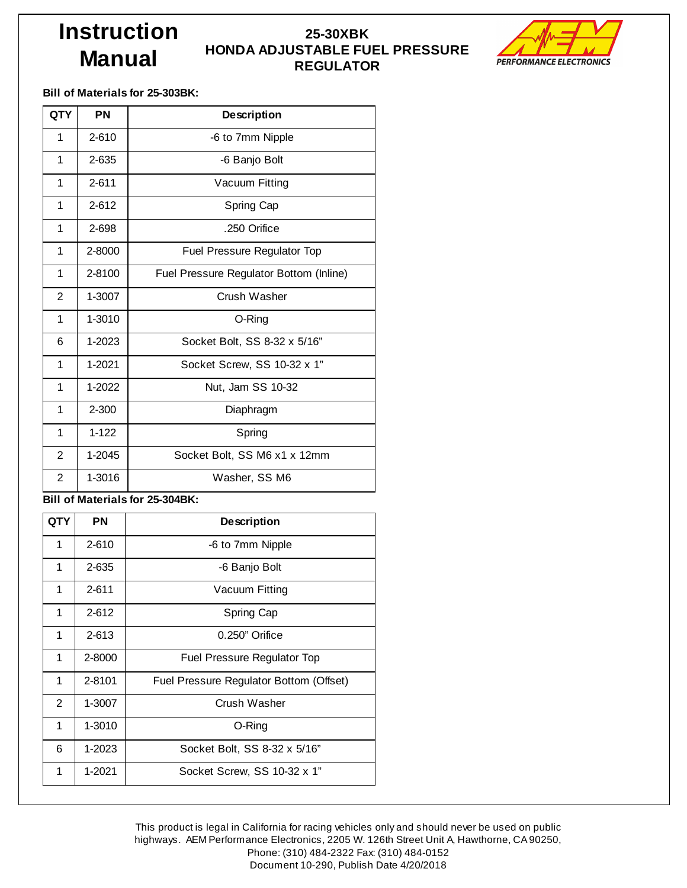#### **25-30XBK HONDA ADJUSTABLE FUEL PRESSURE REGULATOR**



**Bill of Materials for 25-303BK:**

| <b>QTY</b>                      | PN        | <b>Description</b>                      |  |  |  |  |
|---------------------------------|-----------|-----------------------------------------|--|--|--|--|
| 1                               | $2 - 610$ | -6 to 7mm Nipple                        |  |  |  |  |
| 1                               | 2-635     | -6 Banjo Bolt                           |  |  |  |  |
| 1                               | $2 - 611$ | Vacuum Fitting                          |  |  |  |  |
| 1                               | $2 - 612$ | Spring Cap                              |  |  |  |  |
| 1                               | 2-698     | .250 Orifice                            |  |  |  |  |
| 1                               | 2-8000    | Fuel Pressure Regulator Top             |  |  |  |  |
| $\mathbf{1}$                    | 2-8100    | Fuel Pressure Regulator Bottom (Inline) |  |  |  |  |
| 2                               | 1-3007    | Crush Washer                            |  |  |  |  |
| 1                               | 1-3010    | O-Ring                                  |  |  |  |  |
| 6                               | 1-2023    | Socket Bolt, SS 8-32 x 5/16"            |  |  |  |  |
| 1                               | 1-2021    | Socket Screw, SS 10-32 x 1"             |  |  |  |  |
| $\mathbf{1}$                    | 1-2022    | Nut, Jam SS 10-32                       |  |  |  |  |
| 1                               | 2-300     | Diaphragm                               |  |  |  |  |
| 1                               | $1 - 122$ | Spring                                  |  |  |  |  |
| $\overline{2}$                  | 1-2045    | Socket Bolt, SS M6 x1 x 12mm            |  |  |  |  |
| 2                               | 1-3016    | Washer, SS M6                           |  |  |  |  |
| Bill of Materials for 25-304BK: |           |                                         |  |  |  |  |

| <b>QTY</b>     | ΡN        | <b>Description</b>                      |  |  |  |  |
|----------------|-----------|-----------------------------------------|--|--|--|--|
| 1              | $2 - 610$ | -6 to 7mm Nipple                        |  |  |  |  |
| 1              | 2-635     | -6 Banjo Bolt                           |  |  |  |  |
| 1              | 2-611     | Vacuum Fitting                          |  |  |  |  |
| 1              | $2 - 612$ | Spring Cap                              |  |  |  |  |
| 1              | $2 - 613$ | $0.250"$ Orifice                        |  |  |  |  |
| 1              | 2-8000    | Fuel Pressure Regulator Top             |  |  |  |  |
| 1              | 2-8101    | Fuel Pressure Regulator Bottom (Offset) |  |  |  |  |
| $\overline{2}$ | 1-3007    | Crush Washer                            |  |  |  |  |
| 1              | 1-3010    | O-Ring                                  |  |  |  |  |
| 6              | 1-2023    | Socket Bolt, SS 8-32 x 5/16"            |  |  |  |  |
| 1              | 1-2021    | Socket Screw, SS 10-32 x 1"             |  |  |  |  |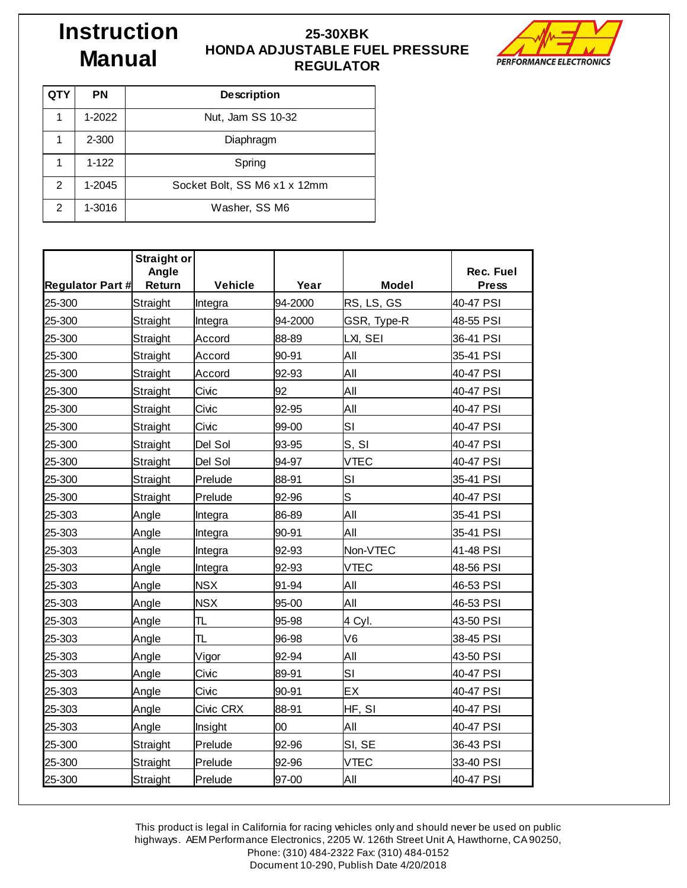#### **25-30XBK HONDA ADJUSTABLE FUEL PRESSURE REGULATOR**



| QTY | PN        | <b>Description</b>           |  |  |  |
|-----|-----------|------------------------------|--|--|--|
| 1   | 1-2022    | Nut, Jam SS 10-32            |  |  |  |
| 1   | $2 - 300$ | Diaphragm                    |  |  |  |
| 1   | $1 - 122$ | Spring                       |  |  |  |
| 2   | 1-2045    | Socket Bolt, SS M6 x1 x 12mm |  |  |  |
| 2   | 1-3016    | Washer, SS M6                |  |  |  |

|                         | <b>Straight or</b><br>Angle |            |         |                | Rec. Fuel    |
|-------------------------|-----------------------------|------------|---------|----------------|--------------|
| <b>Regulator Part #</b> | Return                      | Vehicle    | Year    | <b>Model</b>   | <b>Press</b> |
| 25-300                  | Straight                    | Integra    | 94-2000 | RS, LS, GS     | 40-47 PSI    |
| 25-300                  | Straight                    | Integra    | 94-2000 | GSR, Type-R    | 48-55 PSI    |
| 25-300                  | Straight                    | Accord     | 88-89   | LXI, SEI       | 36-41 PSI    |
| 25-300                  | Straight                    | Accord     | 90-91   | All            | 35-41 PSI    |
| 25-300                  | Straight                    | Accord     | 92-93   | All            | 40-47 PSI    |
| 25-300                  | Straight                    | Civic      | 92      | All            | 40-47 PSI    |
| 25-300                  | Straight                    | Civic      | 92-95   | All            | 40-47 PSI    |
| 25-300                  | Straight                    | Civic      | 99-00   | SI             | 40-47 PSI    |
| 25-300                  | Straight                    | Del Sol    | 93-95   | S, SI          | 40-47 PSI    |
| 25-300                  | Straight                    | Del Sol    | 94-97   | <b>VTEC</b>    | 40-47 PSI    |
| 25-300                  | Straight                    | Prelude    | 88-91   | SI             | 35-41 PSI    |
| 25-300                  | Straight                    | Prelude    | 92-96   | S              | 40-47 PSI    |
| 25-303                  | Angle                       | Integra    | 86-89   | All            | 35-41 PSI    |
| 25-303                  | Angle                       | Integra    | 90-91   | All            | 35-41 PSI    |
| 25-303                  | Angle                       | Integra    | 92-93   | Non-VTEC       | 41-48 PSI    |
| 25-303                  | Angle                       | Integra    | 92-93   | <b>VTEC</b>    | 48-56 PSI    |
| 25-303                  | Angle                       | <b>NSX</b> | 91-94   | All            | 46-53 PSI    |
| 25-303                  | Angle                       | <b>NSX</b> | 95-00   | All            | 46-53 PSI    |
| 25-303                  | Angle                       | TL         | 95-98   | 4 Cyl.         | 43-50 PSI    |
| 25-303                  | Angle                       | TL         | 96-98   | V <sub>6</sub> | 38-45 PSI    |
| 25-303                  | Angle                       | Vigor      | 92-94   | All            | 43-50 PSI    |
| 25-303                  | Angle                       | Civic      | 89-91   | SI             | 40-47 PSI    |
| 25-303                  | Angle                       | Civic      | 90-91   | EX             | 40-47 PSI    |
| 25-303                  | Angle                       | Civic CRX  | 88-91   | HF, SI         | 40-47 PSI    |
| 25-303                  | Angle                       | Insight    | $00\,$  | All            | 40-47 PSI    |
| 25-300                  | Straight                    | Prelude    | 92-96   | SI, SE         | 36-43 PSI    |
| 25-300                  | Straight                    | Prelude    | 92-96   | <b>VTEC</b>    | 33-40 PSI    |
| 25-300                  | Straight                    | Prelude    | 97-00   | All            | 40-47 PSI    |